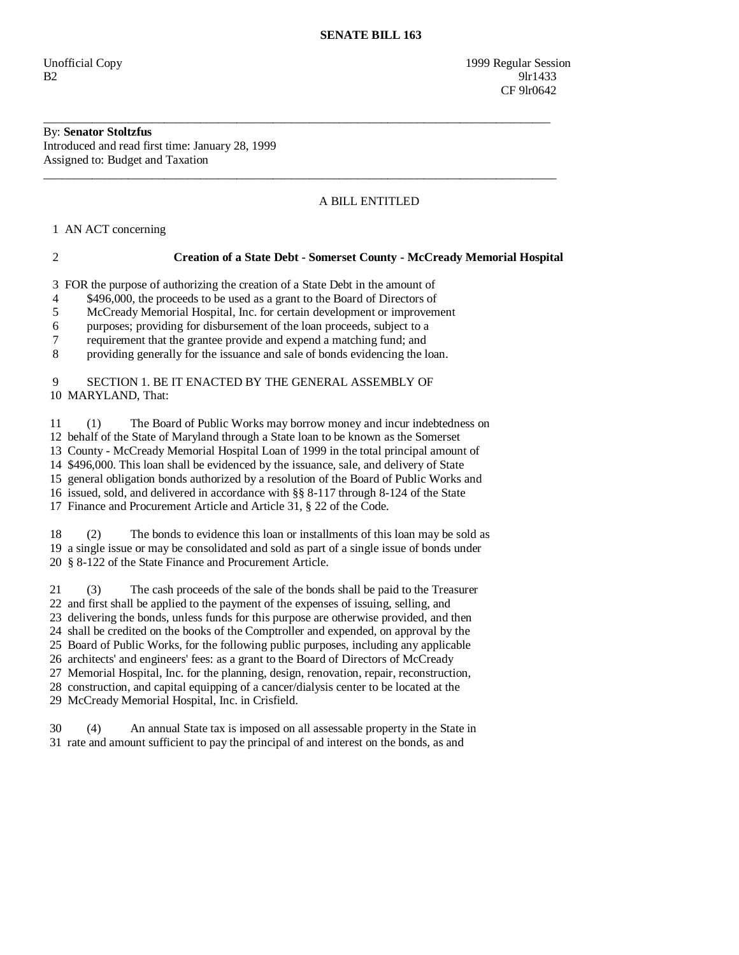Unofficial Copy 1999 Regular Session  $B2$  9lr1433 **CF** 9lr0642

# By: **Senator Stoltzfus**

Introduced and read first time: January 28, 1999 Assigned to: Budget and Taxation

## A BILL ENTITLED

1 AN ACT concerning

#### 2 **Creation of a State Debt - Somerset County - McCready Memorial Hospital**

3 FOR the purpose of authorizing the creation of a State Debt in the amount of

4 \$496,000, the proceeds to be used as a grant to the Board of Directors of

5 McCready Memorial Hospital, Inc. for certain development or improvement

\_\_\_\_\_\_\_\_\_\_\_\_\_\_\_\_\_\_\_\_\_\_\_\_\_\_\_\_\_\_\_\_\_\_\_\_\_\_\_\_\_\_\_\_\_\_\_\_\_\_\_\_\_\_\_\_\_\_\_\_\_\_\_\_\_\_\_\_\_\_\_\_\_\_\_\_\_\_\_\_\_\_\_\_

\_\_\_\_\_\_\_\_\_\_\_\_\_\_\_\_\_\_\_\_\_\_\_\_\_\_\_\_\_\_\_\_\_\_\_\_\_\_\_\_\_\_\_\_\_\_\_\_\_\_\_\_\_\_\_\_\_\_\_\_\_\_\_\_\_\_\_\_\_\_\_\_\_\_\_\_\_\_\_\_\_\_\_\_\_

6 purposes; providing for disbursement of the loan proceeds, subject to a

7 requirement that the grantee provide and expend a matching fund; and

8 providing generally for the issuance and sale of bonds evidencing the loan.

### 9 SECTION 1. BE IT ENACTED BY THE GENERAL ASSEMBLY OF 10 MARYLAND, That:

11 (1) The Board of Public Works may borrow money and incur indebtedness on

12 behalf of the State of Maryland through a State loan to be known as the Somerset

13 County - McCready Memorial Hospital Loan of 1999 in the total principal amount of

14 \$496,000. This loan shall be evidenced by the issuance, sale, and delivery of State

15 general obligation bonds authorized by a resolution of the Board of Public Works and

16 issued, sold, and delivered in accordance with §§ 8-117 through 8-124 of the State

17 Finance and Procurement Article and Article 31, § 22 of the Code.

 18 (2) The bonds to evidence this loan or installments of this loan may be sold as 19 a single issue or may be consolidated and sold as part of a single issue of bonds under 20 § 8-122 of the State Finance and Procurement Article.

 21 (3) The cash proceeds of the sale of the bonds shall be paid to the Treasurer 22 and first shall be applied to the payment of the expenses of issuing, selling, and 23 delivering the bonds, unless funds for this purpose are otherwise provided, and then 24 shall be credited on the books of the Comptroller and expended, on approval by the 25 Board of Public Works, for the following public purposes, including any applicable 26 architects' and engineers' fees: as a grant to the Board of Directors of McCready 27 Memorial Hospital, Inc. for the planning, design, renovation, repair, reconstruction, 28 construction, and capital equipping of a cancer/dialysis center to be located at the 29 McCready Memorial Hospital, Inc. in Crisfield.

 30 (4) An annual State tax is imposed on all assessable property in the State in 31 rate and amount sufficient to pay the principal of and interest on the bonds, as and